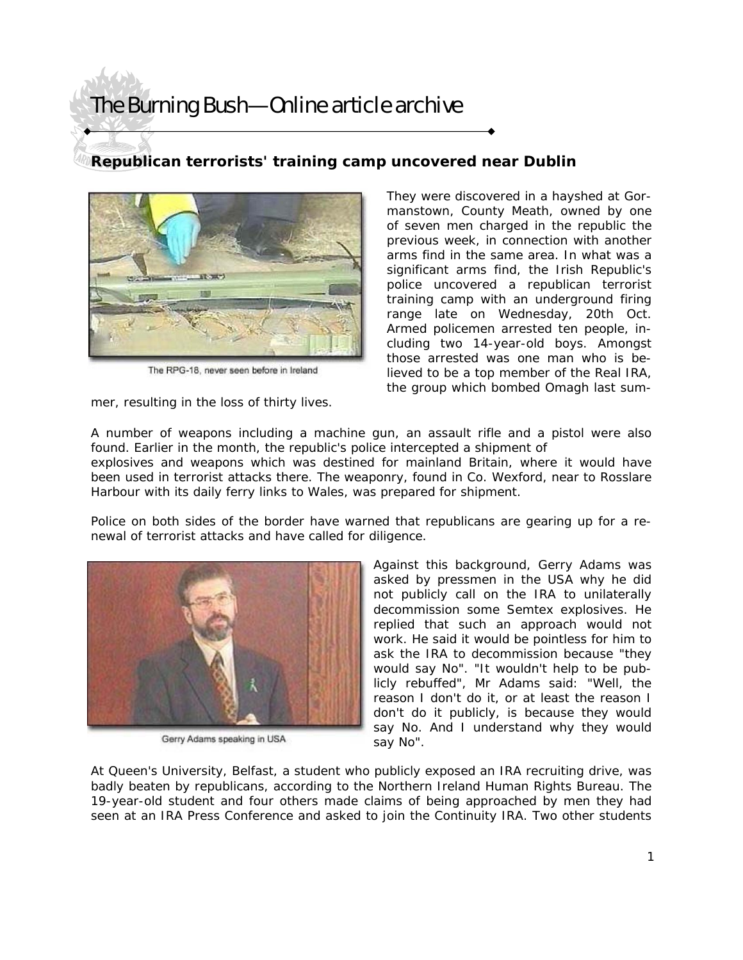## The Burning Bush—Online article archive

## **Republican terrorists' training camp uncovered near Dublin**



The RPG-18, never seen before in Ireland

mer, resulting in the loss of thirty lives.

They were discovered in a hayshed at Gormanstown, County Meath, owned by one of seven men charged in the republic the previous week, in connection with another arms find in the same area. In what was a significant arms find, the Irish Republic's police uncovered a republican terrorist training camp with an underground firing range late on Wednesday, 20th Oct. Armed policemen arrested ten people, including two 14-year-old boys. Amongst those arrested was one man who is believed to be a top member of the Real IRA, the group which bombed Omagh last sum-

A number of weapons including a machine gun, an assault rifle and a pistol were also found. Earlier in the month, the republic's police intercepted a shipment of

explosives and weapons which was destined for mainland Britain, where it would have been used in terrorist attacks there. The weaponry, found in Co. Wexford, near to Rosslare Harbour with its daily ferry links to Wales, was prepared for shipment.

Police on both sides of the border have warned that republicans are gearing up for a renewal of terrorist attacks and have called for diligence.



Gerry Adams speaking in USA

Against this background, Gerry Adams was asked by pressmen in the USA why he did not publicly call on the IRA to unilaterally decommission some Semtex explosives. He replied that such an approach would not work. He said it would be pointless for him to ask the IRA to decommission because "they would say No". "It wouldn't help to be publicly rebuffed", Mr Adams said: "Well, the reason I don't do it, or at least the reason I don't do it publicly, is because they would say No. And I understand why they would say No".

At Queen's University, Belfast, a student who publicly exposed an IRA recruiting drive, was badly beaten by republicans, according to the Northern Ireland Human Rights Bureau. The 19-year-old student and four others made claims of being approached by men they had seen at an IRA Press Conference and asked to join the Continuity IRA. Two other students